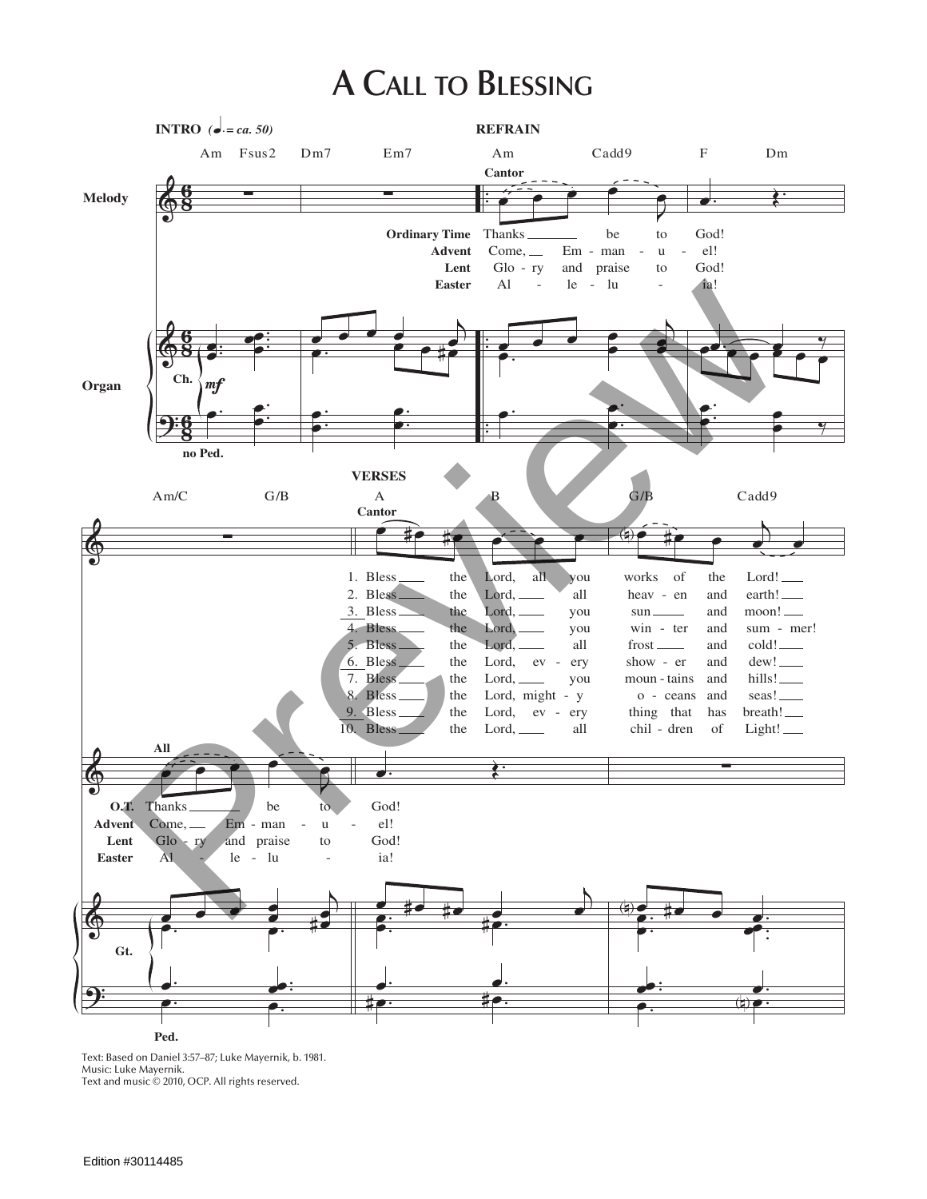## A CALL TO BLESSING



Text: Based on Daniel 3:57-87; Luke Mayernik, b. 1981. Music: Luke Mayernik. Text and music © 2010, OCP. All rights reserved.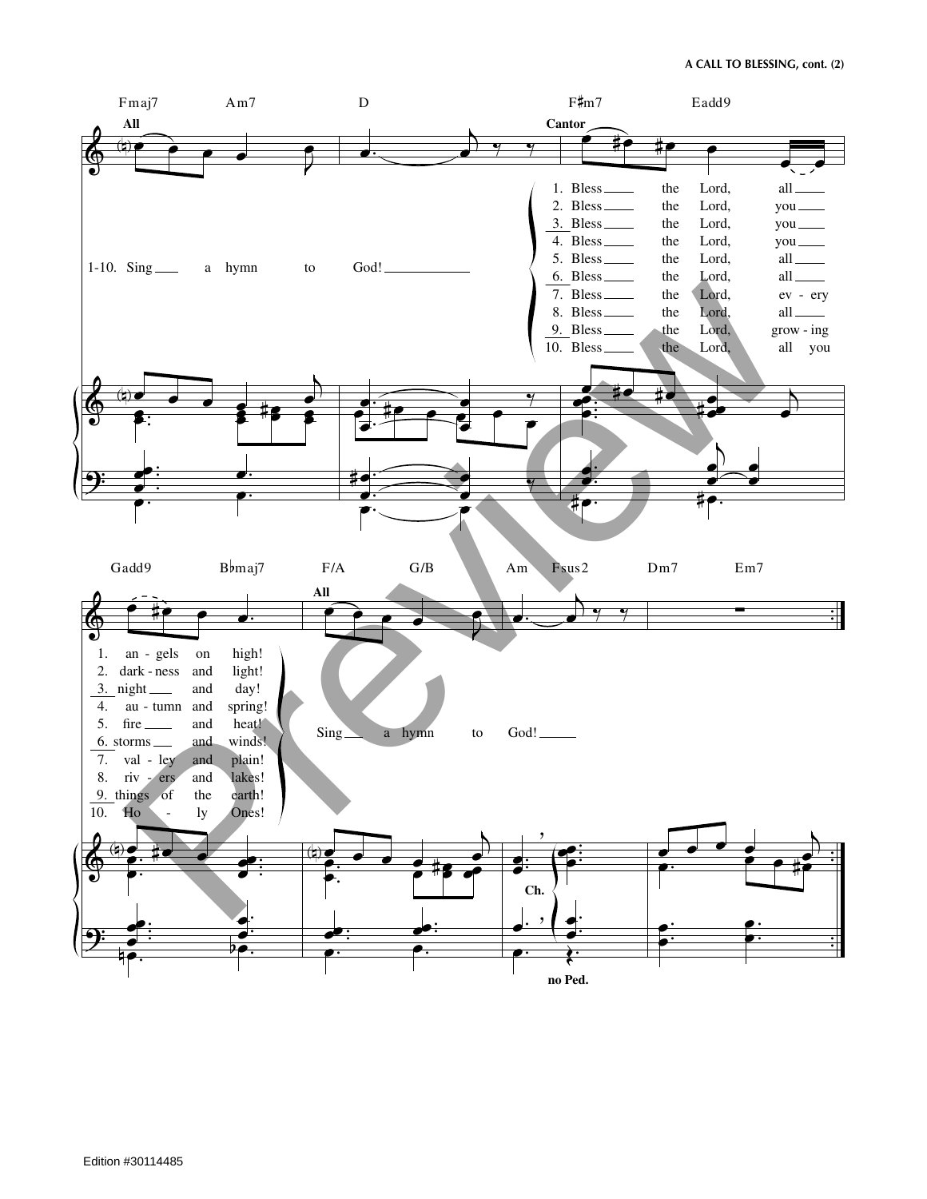